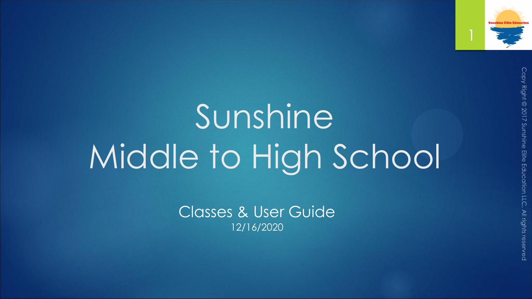

## Sunshine Middle to High School

Classes & User Guide 12/16/2020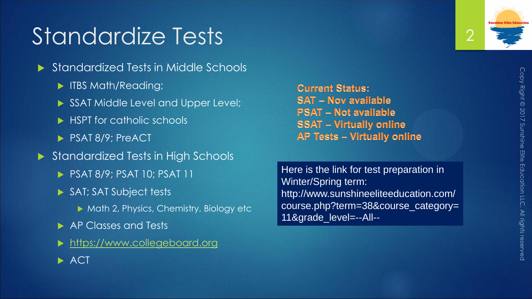## Standardize Tests

- Standardized Tests in Middle Schools
	- **IFBS Math/Reading;**
	- SSAT Middle Level and Upper Level;
	- ▶ HSPT for catholic schools
	- PSAT 8/9; PreACT
- ▶ Standardized Tests in High Schools
	- **PSAT 8/9; PSAT 10; PSAT 11**
	- SAT; SAT Subject tests
		- ▶ Math 2, Physics, Chemistry, Biology etc
	- ▶ AP Classes and Tests
	- [https://www.collegeboard.org](https://www.collegeboard.org/)
	- $\blacktriangleright$  ACT

**Current Status: SAT - Nov available PSAT - Not available SSAT - Virtually online AP Tests - Virtually online** 

Here is the link for test preparation in Winter/Spring term: http://www.sunshineeliteeducation.com/ course.php?term=38&course\_category= 11&grade\_level=--All--

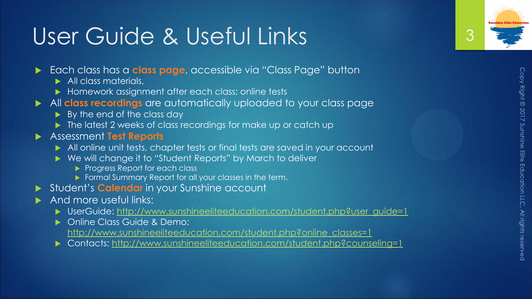## User Guide & Useful Links

- Each class has a **class page**, accessible via "Class Page" button
	- All class materials,
	- ▶ Homework assignment after each class; online tests
- All **class recordings** are automatically uploaded to your class page
	- ▶ By the end of the class day
	- The latest 2 weeks of class recordings for make up or catch up
- Assessment **Test Reports** 
	- All online unit tests, chapter tests or final tests are saved in your account
	- ▶ We will change it to "Student Reports" by March to deliver
		- Progress Report for each class
		- Formal Summary Report for all your classes in the term.
- Student's **Calendar** in your Sunshine account
- And more useful links:
	- ▶ UserGuide: [http://www.sunshineeliteeducation.com/student.php?user\\_guide=1](http://www.sunshineeliteeducation.com/student.php?user_guide=1)
	- **Diamble Class Guide & Demo:**
	- [http://www.sunshineeliteeducation.com/student.php?online\\_classes=1](http://www.sunshineeliteeducation.com/student.php?online_classes=1)
	- ▶ Contacts: <http://www.sunshineeliteeducation.com/student.php?counseling=1>

3